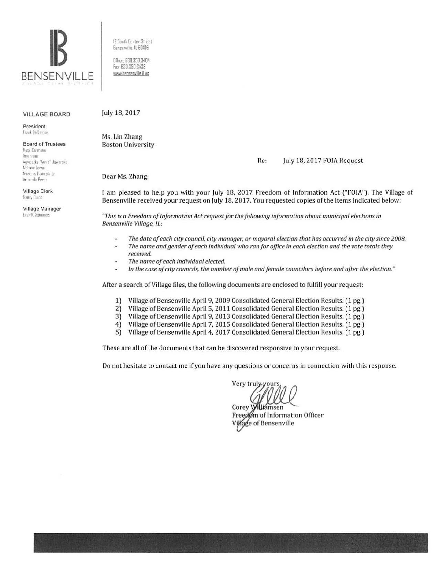

12 South Center 3treet Benserwille IL 60106 Office 630 350 3404

fa; 630 350 3438 www.bensenville.il us

#### VILLAGE BOARD

President **frank (IeSimone** 

Board of Trustees

Ro;a Cannona  $Amm$  **Franz** Agneszka "Annie" Jawarska McLane Lomax Nicholas Particola Jr Armando Perez

Village Clerk Nancy Duron

Village Manager **Evan K. Summers** 

July 18, 2017

Ms. Lin Zhang Boston University

Re: July 18, 2017 FOIA Request

Dear Ms. Zhang:

I am pleased to help you with your July 18, 2017 Freedom of Information Act ("FOIA"). The Village of Bensenville received your request on July 18, 2017. You requested copies of the items indicated below:

*"This is a Freedom of Information Act request for the following information about municipal elections in Bensenville Village, IL:* 

- *The date of each city council, city manager, or mayoral election that has occurred in the city since 2008.*
- *The name and gender of each individual who ran for office in each election and the vote totals they received.* 
	- *The name of each individual elected.*
	- *In the case of city councils, the number of male and female councilors before and after the election."*

After a search of Village files, the following documents are enclosed to fulfill your request:

- 1) Village of Bensenville April 9, 2009 Consolidated General Election Results. (1 pg.)
- 2) Village of Bensenville April 5, 2011 Consolidated General Election Results. (1 pg.)
- 3) Village of Bensenville April 9, 2013 Consolidated General Election Results. (1 pg.)
- 4) Village of Bensenville April 7, 2015 Consolidated General Election Results. (1 pg.)
- 5) Village of Bensenville April 4, 2017 Consolidated General Election Results. (1 pg.)

These are all of the documents that can be discovered responsive to your request.

Do not hesitate to contact me if you have any questions or concerns in connection with this response.

Very truly yours Corey Williamsen

Freedom of Information Officer Village of Bensenville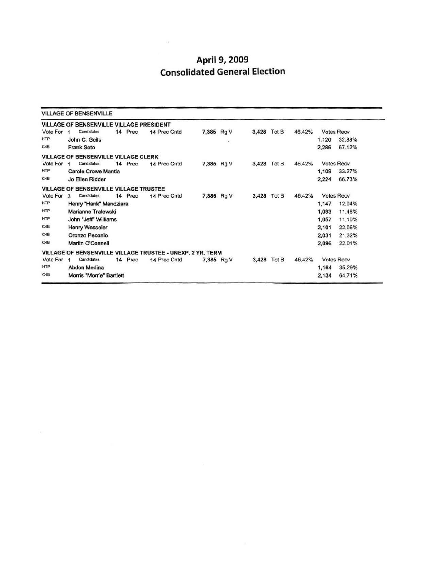# **April 9, 2009 Consolidated General Election**

|                  |              | <b>VILLAGE OF BENSENVILLE</b>                 |         |                                                            |            |            |             |             |        |       |                   |
|------------------|--------------|-----------------------------------------------|---------|------------------------------------------------------------|------------|------------|-------------|-------------|--------|-------|-------------------|
|                  |              | VILLAGE OF BENSENVILLE VILLAGE PRESIDENT      |         |                                                            |            |            |             |             |        |       |                   |
| Vote For 1       |              | Candidates                                    | 14 Prec | 14 Prec Cntd                                               | 7,385 Rg V |            | 3,428       | Tot B       | 46.42% |       | <b>Votes Recv</b> |
| <b>HTP</b>       |              | John C. Geils                                 |         |                                                            |            | $^\star$   |             |             |        | 1,120 | 32.88%            |
| CAB              |              | <b>Frank Soto</b>                             |         |                                                            |            |            |             |             |        | 2,286 | 67.12%            |
|                  |              | VILLAGE OF BENSENVILLE VILLAGE CLERK          |         |                                                            |            |            |             |             |        |       |                   |
| Vote For         | - 1          | Candidates                                    | 14 Prec | 14 Prec Cntd                                               | 7,385 Rg V |            |             | 3,428 Tot B | 46.42% |       | <b>Votes Recv</b> |
| <b>HTP</b>       |              | Carole Crowe Mantia                           |         |                                                            |            |            |             |             |        | 1,109 | 33.27%            |
| C <sub>4</sub> B |              | Jo Ellen Ridder                               |         |                                                            |            |            |             |             |        | 2,224 | 66.73%            |
|                  |              | <b>VILLAGE OF BENSENVILLE VILLAGE TRUSTEE</b> |         |                                                            |            |            |             |             |        |       |                   |
| Vote For         | $\mathbf{3}$ | Candidates                                    | 14 Prec | 14 Prec Cntd                                               | 7,385 Rg V |            | 3,428 Tot B |             | 46.42% |       | <b>Votes Recv</b> |
| <b>HTP</b>       |              | Henry "Hank" Mandziara                        |         |                                                            |            |            |             |             |        | 1,147 | 12.04%            |
| <b>HTP</b>       |              | Marianne Tralewski                            |         |                                                            |            |            |             |             |        | 1,093 | 11.48%            |
| <b>HTP</b>       |              | John "Jeff" Williams                          |         |                                                            |            |            |             |             |        | 1,057 | 11.10%            |
| CAB              |              | <b>Henry Wesseler</b>                         |         |                                                            |            |            |             |             |        | 2,101 | 22.06%            |
| CAB              |              | Oronzo Peconio                                |         |                                                            |            |            |             |             |        | 2,031 | 21.32%            |
| CAB              |              | Martin O'Connell                              |         |                                                            |            |            |             |             |        | 2,096 | 22.01%            |
|                  |              |                                               |         | VILLAGE OF BENSENVILLE VILLAGE TRUSTEE - UNEXP. 2 YR. TERM |            |            |             |             |        |       |                   |
| Vote For         | 1            | Candidates                                    | 14 Prec | 14 Prec Cntd                                               |            | 7,385 Rg V |             | 3,428 Tot B | 46.42% |       | <b>Votes Recv</b> |
| <b>HTP</b>       |              | <b>Abdon Medina</b>                           |         |                                                            |            |            |             |             |        | 1,164 | 35.29%            |
| CAB              |              | Morris "Morrie" Bartlett                      |         |                                                            |            |            |             |             |        | 2,134 | 64.71%            |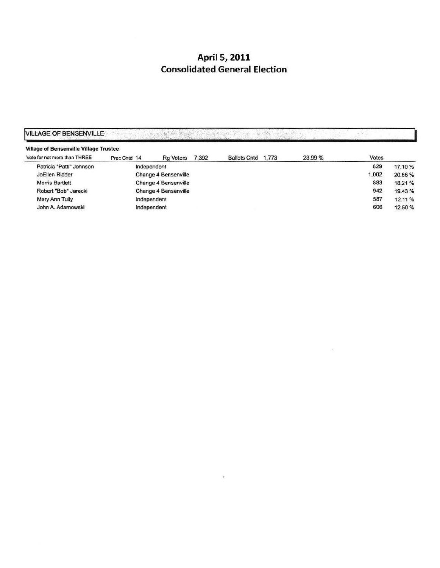### **April 5, 2011 Consolidated General Election**

| <b>VILLAGE OF BENSENVILLE</b><br>Louis Andre Michelle (1944) - Program and Michelle Allen |              |             |                      |       |                    |  |         |       |         |
|-------------------------------------------------------------------------------------------|--------------|-------------|----------------------|-------|--------------------|--|---------|-------|---------|
| <b>Village of Bensenville Village Trustee</b>                                             |              |             |                      |       |                    |  |         |       |         |
| Vote for not more than THREE                                                              | Prec Cntd 14 |             | <b>Rg Voters</b>     | 7,392 | Ballots Cntd 1,773 |  | 23.99 % | Votes |         |
| Patricia "Patti" Johnson                                                                  |              | Independent |                      |       |                    |  |         | 829   | 17.10%  |
| JoEllen Ridder                                                                            |              |             | Change 4 Bensenville |       |                    |  |         | 1.002 | 20.66%  |
| <b>Morris Bartlett</b>                                                                    |              |             | Change 4 Bensenville |       |                    |  |         | 883   | 18.21%  |
| Robert "Bob" Jarecki                                                                      |              |             | Change 4 Bensenville |       |                    |  |         | 942   | 19.43%  |
| Mary Ann Tully                                                                            |              | Independent |                      |       |                    |  |         | 587   | 12.11 % |
| John A. Adamowski                                                                         |              | Independent |                      |       |                    |  |         | 606   | 12.50 % |

 $\mathcal{L}_{\mathcal{L}}$ 

Ŷ.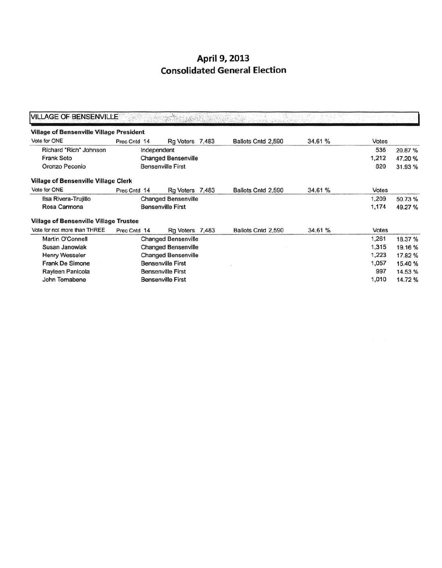## **April 9, 2013 Consolidated General Election**

| VILLAGE OF BENSENVILLE                          |              |                            | 图20% 化活动可以注射       |         |       |         |
|-------------------------------------------------|--------------|----------------------------|--------------------|---------|-------|---------|
| <b>Village of Bensenville Village President</b> |              |                            |                    |         |       |         |
| Vote for ONE                                    | Prec Cntd 14 | Rg Voters 7,483            | Ballots Cntd 2,590 | 34.61 % | Votes |         |
| Richard "Rich" Johnson                          |              | Independent                |                    |         | 536   | 20.87 % |
| Frank Soto                                      |              | <b>Changed Bensenville</b> |                    |         | 1,212 | 47.20%  |
| Oronzo Peconio                                  |              | <b>Bensenville First</b>   |                    |         | 820   | 31.93%  |
| <b>Village of Bensenville Village Clerk</b>     |              |                            |                    |         |       |         |
| Vote for ONE                                    | Prec Cntd 14 | Rg Voters 7,483            | Ballots Cntd 2,590 | 34.61 % | Votes |         |
| Ilsa Rivera-Trujillo                            |              | <b>Changed Bensenville</b> |                    |         | 1,209 | 50.73%  |
| Rosa Carmona                                    |              | <b>Bensenville First</b>   |                    |         | 1,174 | 49.27 % |
| <b>Village of Bensenville Village Trustee</b>   |              |                            |                    |         |       |         |
| Vote for not more than THREE                    | Prec Cntd 14 | Rg Voters 7,483            | Ballots Cntd 2,590 | 34.61 % | Votes |         |
| Martin O'Connell                                |              | <b>Changed Bensenville</b> |                    |         | 1,261 | 18.37 % |
| Susan Janowiak                                  |              | <b>Changed Bensenville</b> |                    |         | 1,315 | 19.16%  |
| <b>Henry Wesseler</b>                           |              | <b>Changed Bensenville</b> |                    |         | 1,223 | 17.82 % |
| <b>Frank De Simone</b>                          |              | <b>Bensenville First</b>   | 35                 |         | 1,057 | 15.40 % |
| Rayleen Panicola                                |              | <b>Bensenville First</b>   |                    |         | 997   | 14.53 % |
| John Tomabene                                   |              | <b>Bensenville First</b>   |                    |         | 1,010 | 14.72%  |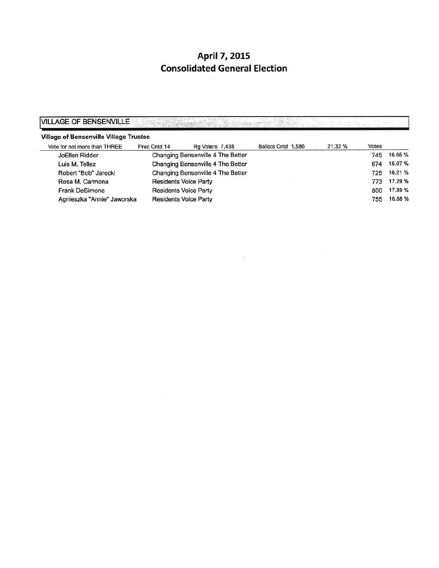#### **April 7, 2015 Consolidated General Election**

#### VILLAGE OF BENSENVILLE **Constitution of the constitution of the second constitution** d 1333 O

#### Village of Bensenville Village Trustee

| Vote for not more than THREE | Prec Cntd 14 | Rg Voters 7,438                   | Ballots Cntd 1,586 | 21.32% | <b>Votes</b> |         |
|------------------------------|--------------|-----------------------------------|--------------------|--------|--------------|---------|
| JoEllen Ridder               |              | Changing Bensenville 4 The Better |                    |        | 745          | 16.66%  |
| Luis M. Tellez               |              | Changing Bensenville 4 The Better |                    |        | 674          | 15.07%  |
| Robert "Bob" Jarecki         |              | Changing Bensenville 4 The Better |                    |        | 725          | 16.21 % |
| Rosa M. Carmona              |              | <b>Residents Voice Party</b>      |                    |        | 773          | 17.29 % |
| Frank DeSimone               |              | <b>Residents Voice Party</b>      |                    |        | 800          | 17.89%  |
| Agnieszka "Annie" Jaworska   |              | <b>Residents Voice Party</b>      |                    |        | 755          | 16.88%  |
|                              |              |                                   |                    |        |              |         |

 $\tilde{\mathbf{x}}$